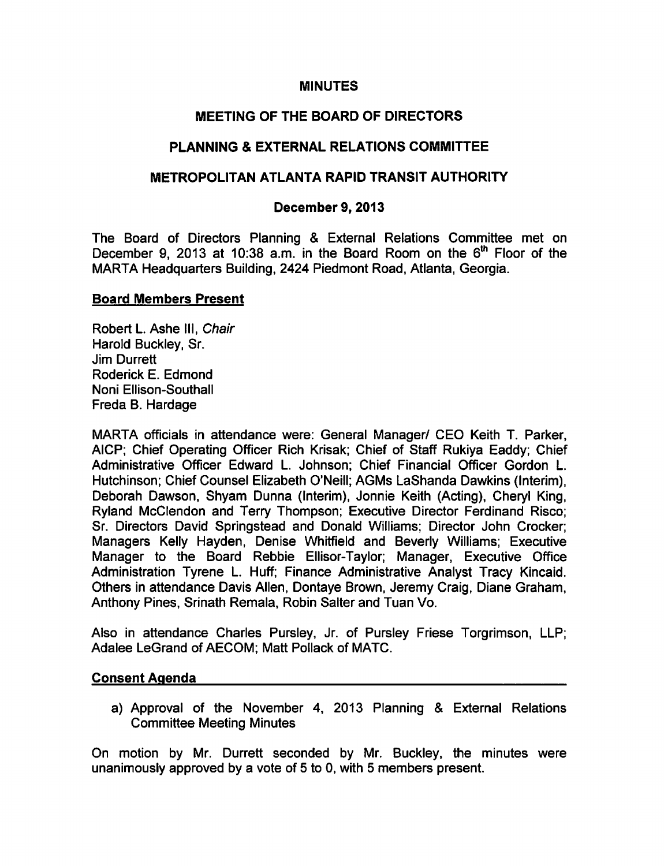### MINUTES

# MEETING OF THE BOARD OF DIRECTORS

# PLANNING & EXTERNAL RELATIONS COMMITTEE

#### METROPOLITAN ATLANTA RAPID TRANSIT AUTHORITY

#### December 9, 2013

The Board of Directors Planning & External Relations Committee met on December 9, 2013 at 10:38 a.m. in the Board Room on the 6<sup>th</sup> Floor of the MARTA Headquarters Building, 2424 Piedmont Road, Atlanta, Georgia.

#### Board Members Present

Robert L. Ashe III, Chair Harold Buckley, Sr. Jim Durrett Roderick E. Edmond Noni Ellison-Southall Freda B. Hardage

MARTA officials in attendance were: General Manager/ CEO Keith T. Parker, AICP; Chief Operating Officer Rich Krisak; Chief of Staff Rukiya Eaddy; Chief Administrative Officer Edward L. Johnson; Chief Financial Officer Gordon L. Hutchinson; Chief Counsel Elizabeth O'Neill; AGMs LaShanda Dawkins (Interim), Deborah Dawson, Shyam Dunna (Interim), Jonnie Keith (Acting), Cheryl King, Ryland McClendon and Terry Thompson; Executive Director Ferdinand Risco; Sr. Directors David Springstead and Donald Williams; Director John Crocker; Managers Kelly Hayden, Denise Whitfield and Beverly Williams; Executive Manager to the Board Rebbie Ellisor-Taylor; Manager, Executive Office Administration Tyrene L. Huff; Finance Administrative Analyst Tracy Kincaid. Others in attendance Davis Allen, Dontaye Brown, Jeremy Craig, Diane Graham, Anthony Pines, Srinath Remala, Robin Salter and Tuan Vo.

Also in attendance Charles Pursley, Jr. of Pursley Friese Torgrimson, LLP; Adalee LeGrand of AECOM; Matt Pollack of MATC.

#### Consent Agenda

a) Approval of the November 4, 2013 Planning & External Relations Committee Meeting Minutes

On motion by Mr. Durrett seconded by Mr. Buckley, the minutes were unanimously approved by a vote of 5 to 0, with 5 members present.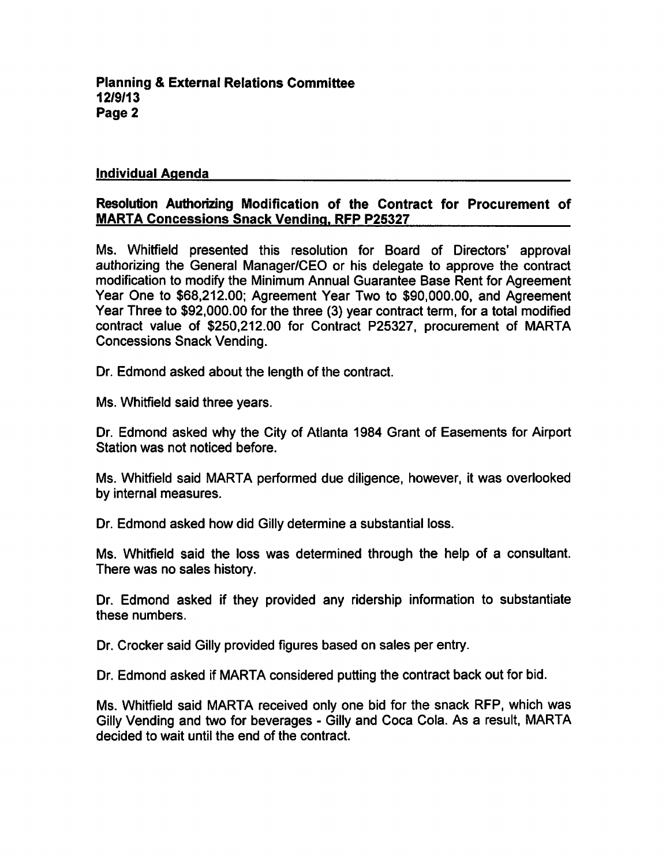#### Individual Agenda

# Resolution Authorizing Modification of the Contract for Procurement of **MARTA Concessions Snack Vending, RFP P25327**

Ms. Whitfield presented this resolution for Board of Directors' approval authorizing the General Manager/CEO or his delegate to approve the contract modification to modify the Minimum Annual Guarantee Base Rent for Agreement Year One to \$68,212.00; Agreement Year Two to \$90,000.00, and Agreement Year Three to \$92,000.00 for the three (3) year contract term, for a total modified contract value of \$250,212.00 for Contract P25327, procurement of MARTA **Concessions Snack Vending.** 

Dr. Edmond asked about the length of the contract.

Ms. Whitfield said three years.

Dr. Edmond asked why the City of Atlanta 1984 Grant of Easements for Airport Station was not noticed before.

Ms. Whitfield said MARTA performed due diligence, however, it was overlooked by internal measures.

Dr. Edmond asked how did Gilly determine a substantial loss.

Ms. Whitfield said the loss was determined through the help of a consultant. There was no sales history.

Dr. Edmond asked if they provided any ridership information to substantiate these numbers.

Dr. Crocker said Gilly provided figures based on sales per entry.

Dr. Edmond asked if MARTA considered putting the contract back out for bid.

Ms. Whitfield said MARTA received only one bid for the snack RFP, which was Gilly Vending and two for beverages - Gilly and Coca Cola. As a result, MARTA decided to wait until the end of the contract.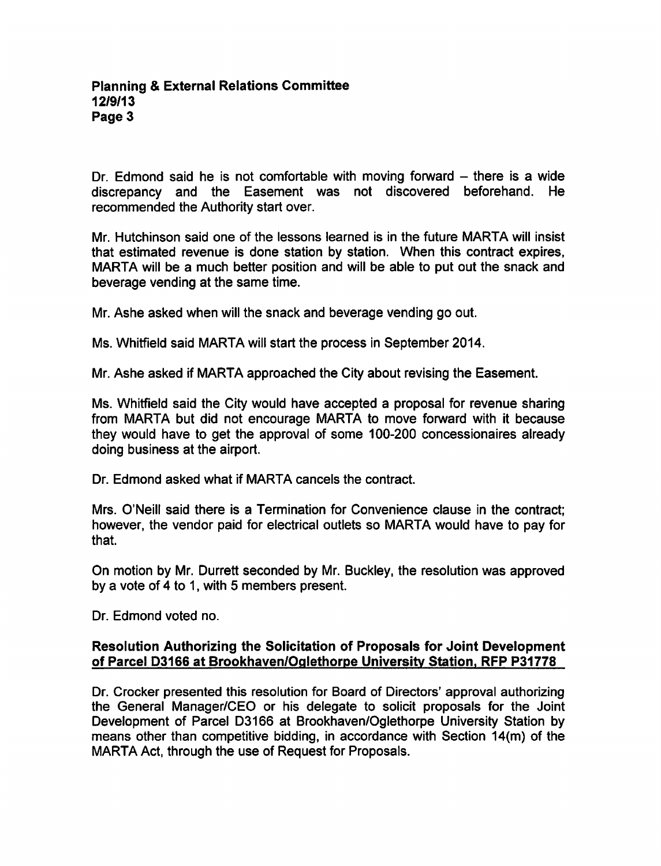Dr. Edmond said he is not comfortable with moving forward  $-$  there is a wide discrepancy and the Easement was not discovered beforehand. He recommended the Authority start over.

Mr. Hutchinson said one of the lessons learned is in the future MARTA will insist that estimated revenue is done station by station. When this contract expires, MARTA will be a much better position and will be able to put out the snack and beverage vending at the same time.

Mr. Ashe asked when will the snack and beverage vending go out.

Ms. Whitfield said MARTA will start the process in September 2014.

Mr. Ashe asked if MARTA approached the City about revising the Easement.

Ms. Whitfield said the City would have accepted a proposal for revenue sharing from MARTA but did not encourage MARTA to move forward with it because they would have to get the approval of some 100-200 concessionaires already doing business at the airport.

Dr. Edmond asked what if MARTA cancels the contract.

Mrs. O'Neill said there is a Termination for Convenience clause in the contract; however, the vendor paid for electrical outlets so MARTA would have to pay for that.

On motion by Mr. Durrett seconded by Mr. Buckley, the resolution was approved by a vote of  $4$  to 1, with 5 members present.

Dr. Edmond voted no.

# Resolution Authorizing the Solicitation of Proposals for Joint Development of Parcel D3166 at Brookhaven/Oqlethorpe University Station. RFP P31778

Dr. Crocker presented this resolution for Board of Directors' approval authorizing the General Manager/CEO or his delegate to solicit proposals for the Joint Development of Parcel D3166 at Brookhaven/Oglethorpe University Station by means other than competitive bidding, in accordance with Section 14(m) of the MARTA Act, through the use of Request for Proposals.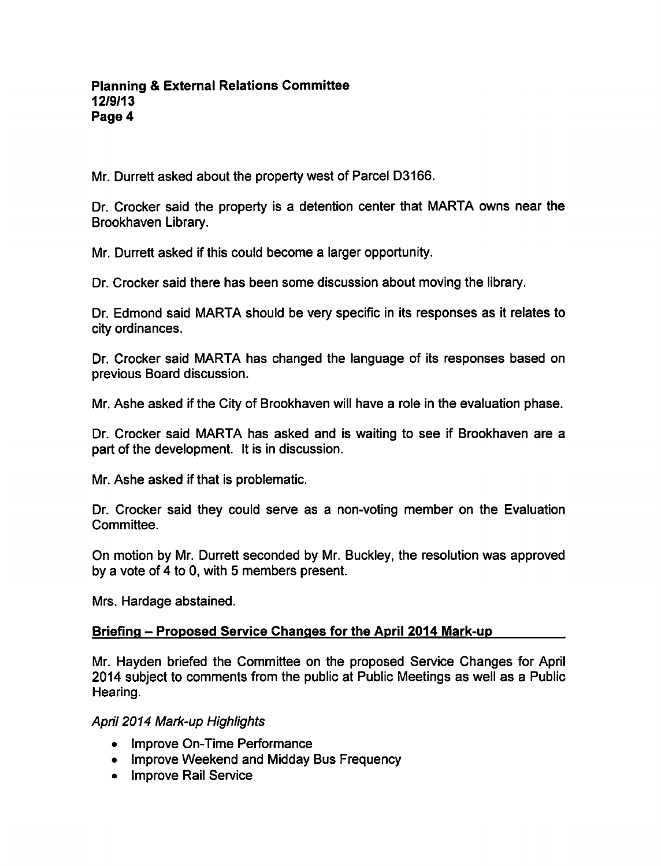Mr. Durrett asked about the property west of Parcel D3166.

Dr. Crocker said the property is a detention center that MARTA owns near the Brookhaven Library.

Mr. Durrett asked if this could become a larger opportunity.

Dr. Crocker said there has been some discussion about moving the library.

Dr. Edmond said MARTA should be very specific in its responses as it relates to city ordinances.

Dr. Crocker said MARTA has changed the language of its responses based on previous Board discussion.

Mr. Ashe asked if the City of Brookhaven will have a role in the evaluation phase.

Dr. Crocker said MARTA has asked and is waiting to see if Brookhaven are part of the development. It is in discussion.

Mr. Ashe asked if that is problematic.

Dr. Crocker said they could serve as a non-voting member on the Evaluation Committee.

On motion by Mr. Durrett seconded by Mr. Buckley, the resolution was approved by a vote of 4 to 0, with 5 members present.

Mrs. Hardage abstained.

# Briefing - Proposed Service Changes for the April 2014 Mark-up

Mr. Hayden briefed the Committee on the proposed Service Changes for April 2014 subject to comments from the public at Public Meetings as well as a Public Hearing.

# April 2014 Mark-up Highlights

- Improve On-Time Performance
- Improve Weekend and Midday Bus Frequency
- Improve Rail Service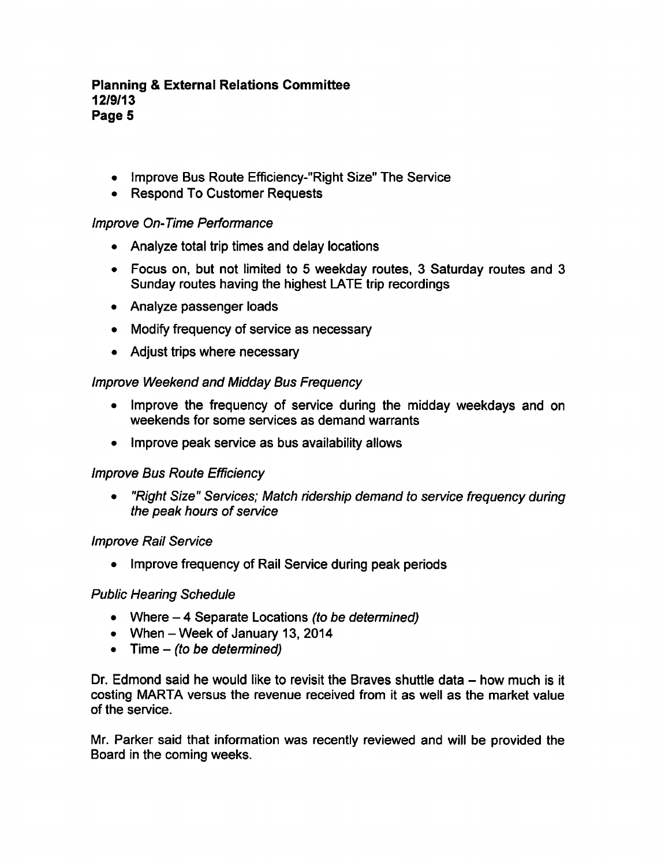# Planning External Relations Committee 12/9/13 Page 5

- Improve Bus Route Efficiency-"Right Size" The Service
- Respond To Customer Requests

# Improve On-Time Performance

- Analyze total trip times and delay locations
- Focus on, but not limited to 5 weekday routes, 3 Saturday routes and 3 Sunday routes having the highest LATE trip recordings
- Analyze passenger loads
- Modify frequency of service as necessary
- Adjust trips where necessary

# Improve Weekend and Midday Bus Frequency

- Improve the frequency of service during the midday weekdays and on weekends for some services as demand warrants
- Improve peak service as bus availability allows

# Improve Bus Route Efficiency

"Right Size" Services; Match ridership demand to service frequency during  $\bullet$ the peak hours of service

# Improve Rail Service

• Improve frequency of Rail Service during peak periods

# Public Hearing Schedule

- Where  $-4$  Separate Locations (to be determined)
- When  $-$  Week of January 13, 2014
- $\bullet$  Time (to be determined)

Dr. Edmond said he would like to revisit the Braves shuttle data  $-$  how much is it costing MARTA versus the revenue received from it as well as the market value of the service.

Mr. Parker said that information was recently reviewed and will be provided the Board in the coming weeks.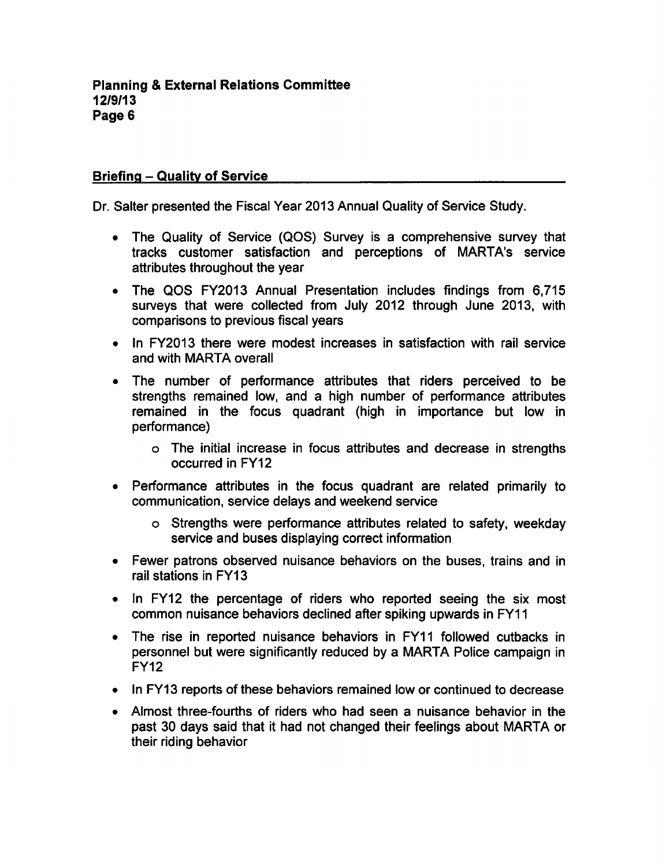#### Briefing - Quality of Service

Dr. Salter presented the Fiscal Year 2013 Annual Quality of Service Study.

- The Quality of Service (QOS) Survey is a comprehensive survey that tracks customer satisfaction and perceptions of MARTA's service attributes throughout the year
- The QOS FY2013 Annual Presentation includes findings from 6,715 surveys that were collected from July 2012 through June 2013, with comparisons to previous fiscal years
- In FY2013 there were modest increases in satisfaction with rail service  $\bullet$ and with MARTA overall
- The number of performance attributes that riders perceived to be strengths remained low, and a high number of performance attributes remained in the focus quadrant (high in importance but low in performance)
	- The initial increase in focus attributes and decrease in strengths occurred in FY12
- Performance attributes in the focus quadrant are related primarily to communication, service delays and weekend service
	- o Strengths were performance attributes related to safety, weekday service and buses displaying correct information
- Fewer patrons observed nuisance behaviors on the buses, trains and in rail stations in FY13
- In FY12 the percentage of riders who reported seeing the six most common nuisance behaviors declined after spiking upwards in FY11
- The rise in reported nuisance behaviors in FY11 followed cutbacks in personnel but were significantly reduced by a MARTA Police campaign in FY12
- In FY13 reports of these behaviors remained low or continued to decrease
- Almost three-fourths of riders who had seen a nuisance behavior in the  $\bullet$ past 30 days said that it had not changed their feelings about MARTA or their riding behavior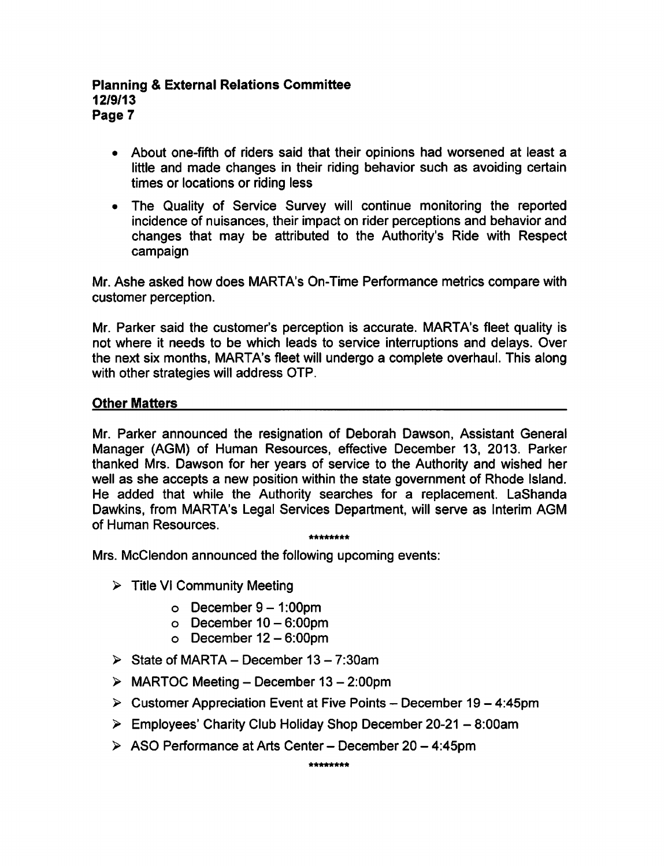#### **Planning & External Relations Committee** 12/9/13 Page 7

- About one-fifth of riders said that their opinions had worsened at least a little and made changes in their riding behavior such as avoiding certain times or locations or riding less
- The Quality of Service Survey will continue monitoring the reported  $\bullet$ incidence of nuisances, their impact on rider perceptions and behavior and changes that may be attributed to the Authority's Ride with Respect campaign

Mr. Ashe asked how does MARTA's On-Time Performance metrics compare with customer perception.

Mr. Parker said the customer's perception is accurate. MARTA's fleet quality is not where it needs to be which leads to service interruptions and delays. Over the next six months, MARTA's fleet will undergo a complete overhaul. This along with other strategies will address OTP.

#### Other Matters

Mr. Parker announced the resignation of Deborah Dawson, Assistant General Manager (AGM) of Human Resources, effective December 13, 2013. Parker thanked Mrs. Dawson for her years of service to the Authority and wished her well as she accepts a new position within the state government of Rhode Island. He added that while the Authority searches for a replacement. LaShanda Dawkins, from MARTA's Legal Services Department, will serve as Interim AGM of Human Resources.

\*\*\*\*\*\*\*\*

Mrs. McClendon announced the following upcoming events:

- $\triangleright$  Title VI Community Meeting
	- $\circ$  December 9 1:00pm
	- $\circ$  December 10 6:00pm
	- $\circ$  December 12 6:00pm
- $\triangleright$  State of MARTA December 13 7:30am
- $\triangleright$  MARTOC Meeting December 13 2:00pm
- $\triangleright$  Customer Appreciation Event at Five Points December 19 4:45pm
- $\triangleright$  Employees' Charity Club Holiday Shop December 20-21 8:00am
- $\geq$  ASO Performance at Arts Center December 20 4:45pm

\*\*\*\*\*\*\*\*